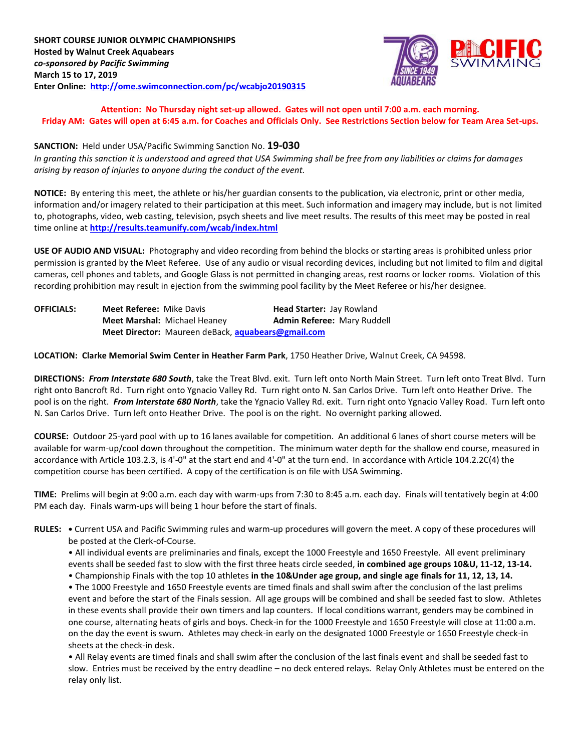

**Attention: No Thursday night set-up allowed. Gates will not open until 7:00 a.m. each morning. Friday AM: Gates will open at 6:45 a.m. for Coaches and Officials Only. See Restrictions Section below for Team Area Set-ups.**

#### **SANCTION:** Held under USA/Pacific Swimming Sanction No. **19-030**

*In granting this sanction it is understood and agreed that USA Swimming shall be free from any liabilities or claims for damages arising by reason of injuries to anyone during the conduct of the event.*

**NOTICE:** By entering this meet, the athlete or his/her guardian consents to the publication, via electronic, print or other media, information and/or imagery related to their participation at this meet. Such information and imagery may include, but is not limited to, photographs, video, web casting, television, psych sheets and live meet results. The results of this meet may be posted in real time online at **<http://results.teamunify.com/wcab/index.html>**

**USE OF AUDIO AND VISUAL:** Photography and video recording from behind the blocks or starting areas is prohibited unless prior permission is granted by the Meet Referee. Use of any audio or visual recording devices, including but not limited to film and digital cameras, cell phones and tablets, and Google Glass is not permitted in changing areas, rest rooms or locker rooms. Violation of this recording prohibition may result in ejection from the swimming pool facility by the Meet Referee or his/her designee.

| <b>OFFICIALS:</b> | <b>Meet Referee: Mike Davis</b> |                                                    | Head Starter: Jay Rowland          |  |
|-------------------|---------------------------------|----------------------------------------------------|------------------------------------|--|
|                   |                                 | <b>Meet Marshal: Michael Heaney</b>                | <b>Admin Referee: Mary Ruddell</b> |  |
|                   |                                 | Meet Director: Maureen deBack, aquabears@gmail.com |                                    |  |

**LOCATION: Clarke Memorial Swim Center in Heather Farm Park**, 1750 Heather Drive, Walnut Creek, CA 94598.

**DIRECTIONS:** *From Interstate 680 South*, take the Treat Blvd. exit. Turn left onto North Main Street. Turn left onto Treat Blvd. Turn right onto Bancroft Rd. Turn right onto Ygnacio Valley Rd. Turn right onto N. San Carlos Drive. Turn left onto Heather Drive. The pool is on the right. *From Interstate 680 North*, take the Ygnacio Valley Rd. exit. Turn right onto Ygnacio Valley Road. Turn left onto N. San Carlos Drive. Turn left onto Heather Drive. The pool is on the right. No overnight parking allowed.

**COURSE:** Outdoor 25-yard pool with up to 16 lanes available for competition. An additional 6 lanes of short course meters will be available for warm-up/cool down throughout the competition. The minimum water depth for the shallow end course, measured in accordance with Article 103.2.3, is 4'-0" at the start end and 4'-0" at the turn end. In accordance with Article 104.2.2C(4) the competition course has been certified. A copy of the certification is on file with USA Swimming.

**TIME:** Prelims will begin at 9:00 a.m. each day with warm-ups from 7:30 to 8:45 a.m. each day. Finals will tentatively begin at 4:00 PM each day. Finals warm-ups will being 1 hour before the start of finals.

**RULES: •** Current USA and Pacific Swimming rules and warm-up procedures will govern the meet. A copy of these procedures will be posted at the Clerk-of-Course.

• All individual events are preliminaries and finals, except the 1000 Freestyle and 1650 Freestyle. All event preliminary events shall be seeded fast to slow with the first three heats circle seeded, **in combined age groups 10&U, 11-12, 13-14.**

• Championship Finals with the top 10 athletes **in the 10&Under age group, and single age finals for 11, 12, 13, 14.**

• The 1000 Freestyle and 1650 Freestyle events are timed finals and shall swim after the conclusion of the last prelims event and before the start of the Finals session. All age groups will be combined and shall be seeded fast to slow. Athletes in these events shall provide their own timers and lap counters. If local conditions warrant, genders may be combined in one course, alternating heats of girls and boys. Check-in for the 1000 Freestyle and 1650 Freestyle will close at 11:00 a.m. on the day the event is swum. Athletes may check-in early on the designated 1000 Freestyle or 1650 Freestyle check-in sheets at the check-in desk.

• All Relay events are timed finals and shall swim after the conclusion of the last finals event and shall be seeded fast to slow. Entries must be received by the entry deadline – no deck entered relays. Relay Only Athletes must be entered on the relay only list.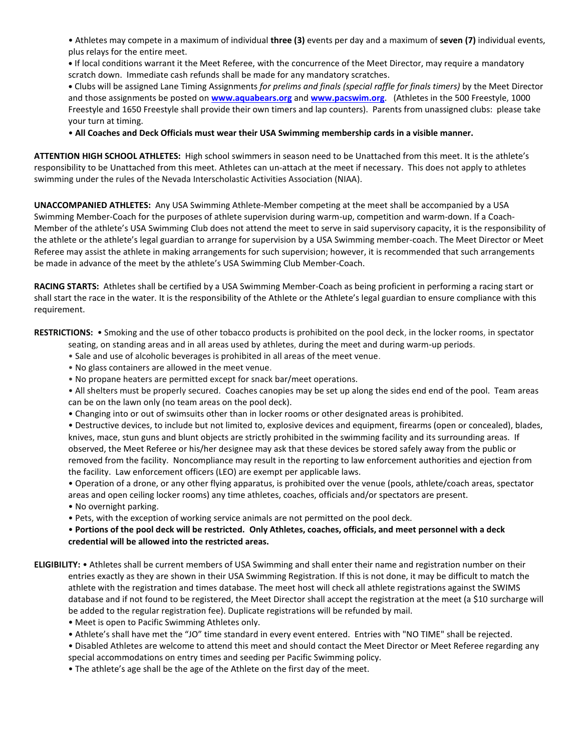• Athletes may compete in a maximum of individual **three (3)** events per day and a maximum of **seven (7)** individual events, plus relays for the entire meet.

**•** If local conditions warrant it the Meet Referee, with the concurrence of the Meet Director, may require a mandatory scratch down. Immediate cash refunds shall be made for any mandatory scratches.

**•** Clubs will be assigned Lane Timing Assignments *for prelims and finals (special raffle for finals timers)* by the Meet Director and those assignments be posted on **[www.aquabears.org](http://www.aquabears.org/)** and **[www.pacswim.org](http://www.pacswim.org/)**. (Athletes in the 500 Freestyle, 1000 Freestyle and 1650 Freestyle shall provide their own timers and lap counters). Parents from unassigned clubs: please take your turn at timing.

• **All Coaches and Deck Officials must wear their USA Swimming membership cards in a visible manner.**

**ATTENTION HIGH SCHOOL ATHLETES:** High school swimmers in season need to be Unattached from this meet. It is the athlete's responsibility to be Unattached from this meet. Athletes can un-attach at the meet if necessary. This does not apply to athletes swimming under the rules of the Nevada Interscholastic Activities Association (NIAA).

**UNACCOMPANIED ATHLETES:** Any USA Swimming Athlete-Member competing at the meet shall be accompanied by a USA Swimming Member-Coach for the purposes of athlete supervision during warm-up, competition and warm-down. If a Coach-Member of the athlete's USA Swimming Club does not attend the meet to serve in said supervisory capacity, it is the responsibility of the athlete or the athlete's legal guardian to arrange for supervision by a USA Swimming member-coach. The Meet Director or Meet Referee may assist the athlete in making arrangements for such supervision; however, it is recommended that such arrangements be made in advance of the meet by the athlete's USA Swimming Club Member-Coach.

**RACING STARTS:** Athletes shall be certified by a USA Swimming Member-Coach as being proficient in performing a racing start or shall start the race in the water. It is the responsibility of the Athlete or the Athlete's legal guardian to ensure compliance with this requirement.

**RESTRICTIONS:** • Smoking and the use of other tobacco products is prohibited on the pool deck, in the locker rooms, in spectator

- seating, on standing areas and in all areas used by athletes, during the meet and during warm-up periods.
- Sale and use of alcoholic beverages is prohibited in all areas of the meet venue.
- No glass containers are allowed in the meet venue.
- No propane heaters are permitted except for snack bar/meet operations.

• All shelters must be properly secured. Coaches canopies may be set up along the sides end end of the pool. Team areas can be on the lawn only (no team areas on the pool deck).

• Changing into or out of swimsuits other than in locker rooms or other designated areas is prohibited.

• Destructive devices, to include but not limited to, explosive devices and equipment, firearms (open or concealed), blades, knives, mace, stun guns and blunt objects are strictly prohibited in the swimming facility and its surrounding areas. If observed, the Meet Referee or his/her designee may ask that these devices be stored safely away from the public or removed from the facility. Noncompliance may result in the reporting to law enforcement authorities and ejection from the facility. Law enforcement officers (LEO) are exempt per applicable laws.

• Operation of a drone, or any other flying apparatus, is prohibited over the venue (pools, athlete/coach areas, spectator areas and open ceiling locker rooms) any time athletes, coaches, officials and/or spectators are present.

- No overnight parking.
- Pets, with the exception of working service animals are not permitted on the pool deck.

• **Portions of the pool deck will be restricted. Only Athletes, coaches, officials, and meet personnel with a deck credential will be allowed into the restricted areas.**

- **ELIGIBILITY:** Athletes shall be current members of USA Swimming and shall enter their name and registration number on their entries exactly as they are shown in their USA Swimming Registration. If this is not done, it may be difficult to match the athlete with the registration and times database. The meet host will check all athlete registrations against the SWIMS database and if not found to be registered, the Meet Director shall accept the registration at the meet (a \$10 surcharge will be added to the regular registration fee). Duplicate registrations will be refunded by mail.
	- Meet is open to Pacific Swimming Athletes only.
	- Athlete's shall have met the "JO" time standard in every event entered. Entries with "NO TIME" shall be rejected.

• Disabled Athletes are welcome to attend this meet and should contact the Meet Director or Meet Referee regarding any special accommodations on entry times and seeding per Pacific Swimming policy.

• The athlete's age shall be the age of the Athlete on the first day of the meet.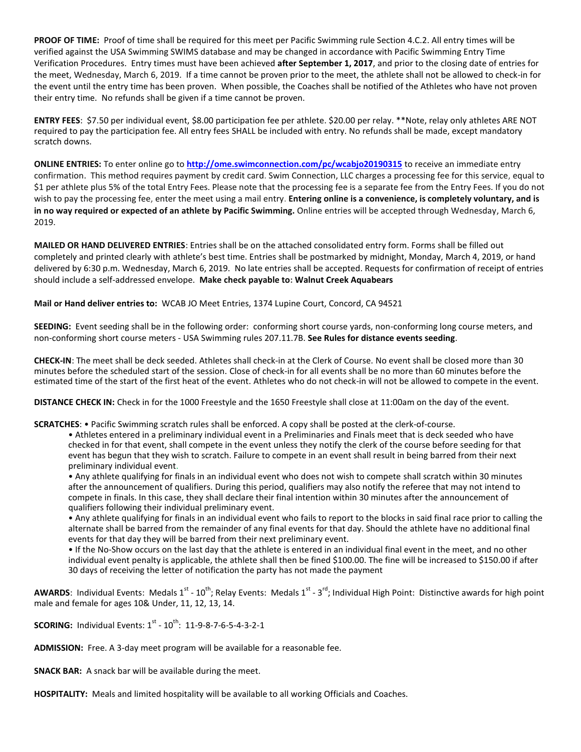**PROOF OF TIME:** Proof of time shall be required for this meet per Pacific Swimming rule Section 4.C.2. All entry times will be verified against the USA Swimming SWIMS database and may be changed in accordance with Pacific Swimming Entry Time Verification Procedures. Entry times must have been achieved **after September 1, 2017**, and prior to the closing date of entries for the meet, Wednesday, March 6, 2019. If a time cannot be proven prior to the meet, the athlete shall not be allowed to check-in for the event until the entry time has been proven. When possible, the Coaches shall be notified of the Athletes who have not proven their entry time. No refunds shall be given if a time cannot be proven.

**ENTRY FEES**: \$7.50 per individual event, \$8.00 participation fee per athlete. \$20.00 per relay. \*\*Note, relay only athletes ARE NOT required to pay the participation fee. All entry fees SHALL be included with entry. No refunds shall be made, except mandatory scratch downs.

**ONLINE ENTRIES:** To enter online go to **<http://ome.swimconnection.com/pc/wcabjo20190315>** to receive an immediate entry confirmation. This method requires payment by credit card. Swim Connection, LLC charges a processing fee for this service, equal to \$1 per athlete plus 5% of the total Entry Fees. Please note that the processing fee is a separate fee from the Entry Fees. If you do not wish to pay the processing fee, enter the meet using a mail entry. **Entering online is a convenience, is completely voluntary, and is in no way required or expected of an athlete by Pacific Swimming.** Online entries will be accepted through Wednesday, March 6, 2019.

**MAILED OR HAND DELIVERED ENTRIES**: Entries shall be on the attached consolidated entry form. Forms shall be filled out completely and printed clearly with athlete's best time. Entries shall be postmarked by midnight, Monday, March 4, 2019, or hand delivered by 6:30 p.m. Wednesday, March 6, 2019. No late entries shall be accepted. Requests for confirmation of receipt of entries should include a self-addressed envelope. **Make check payable to: Walnut Creek Aquabears**

**Mail or Hand deliver entries to:** WCAB JO Meet Entries, 1374 Lupine Court, Concord, CA 94521

**SEEDING:** Event seeding shall be in the following order: conforming short course yards, non-conforming long course meters, and non-conforming short course meters - USA Swimming rules 207.11.7B. **See Rules for distance events seeding**.

**CHECK-IN**: The meet shall be deck seeded. Athletes shall check-in at the Clerk of Course. No event shall be closed more than 30 minutes before the scheduled start of the session. Close of check-in for all events shall be no more than 60 minutes before the estimated time of the start of the first heat of the event. Athletes who do not check-in will not be allowed to compete in the event.

**DISTANCE CHECK IN:** Check in for the 1000 Freestyle and the 1650 Freestyle shall close at 11:00am on the day of the event.

**SCRATCHES**: • Pacific Swimming scratch rules shall be enforced. A copy shall be posted at the clerk-of-course.

• Athletes entered in a preliminary individual event in a Preliminaries and Finals meet that is deck seeded who have checked in for that event, shall compete in the event unless they notify the clerk of the course before seeding for that event has begun that they wish to scratch. Failure to compete in an event shall result in being barred from their next preliminary individual event.

• Any athlete qualifying for finals in an individual event who does not wish to compete shall scratch within 30 minutes after the announcement of qualifiers. During this period, qualifiers may also notify the referee that may not intend to compete in finals. In this case, they shall declare their final intention within 30 minutes after the announcement of qualifiers following their individual preliminary event.

• Any athlete qualifying for finals in an individual event who fails to report to the blocks in said final race prior to calling the alternate shall be barred from the remainder of any final events for that day. Should the athlete have no additional final events for that day they will be barred from their next preliminary event.

• If the No-Show occurs on the last day that the athlete is entered in an individual final event in the meet, and no other individual event penalty is applicable, the athlete shall then be fined \$100.00. The fine will be increased to \$150.00 if after 30 days of receiving the letter of notification the party has not made the payment

AWARDS: Individual Events: Medals 1<sup>st</sup> - 10<sup>th</sup>; Relay Events: Medals 1<sup>st</sup> - 3<sup>rd</sup>; Individual High Point: Distinctive awards for high point male and female for ages 10& Under, 11, 12, 13, 14.

**SCORING:** Individual Events: 1<sup>st</sup> - 10<sup>th</sup>: 11-9-8-7-6-5-4-3-2-1

**ADMISSION:** Free. A 3-day meet program will be available for a reasonable fee.

**SNACK BAR:** A snack bar will be available during the meet.

**HOSPITALITY:** Meals and limited hospitality will be available to all working Officials and Coaches.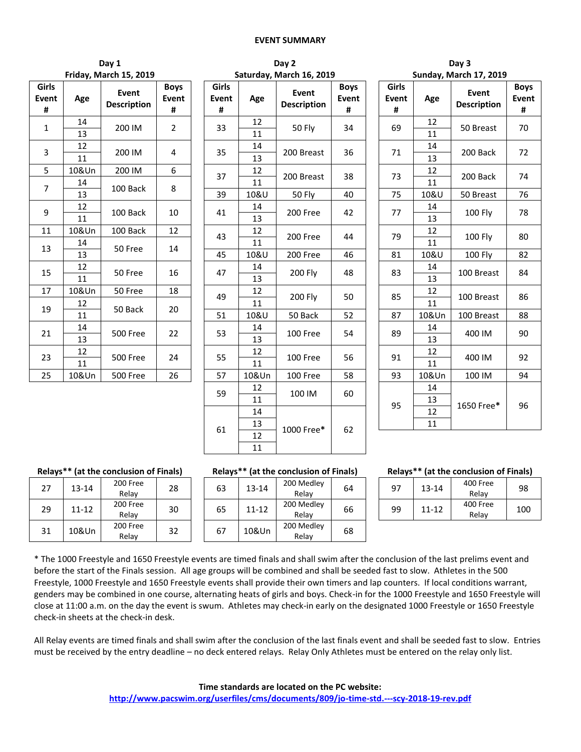#### **EVENT SUMMARY**

| Day 1              | Dav 2                     | Day 3                    |
|--------------------|---------------------------|--------------------------|
| $1 - 1 - 1 - 2010$ | Caturaday, Marsh 16, 2010 | Cundent Movement 17, 201 |

|                     |       | Friday, March 15, 2019      |                                  |                   |
|---------------------|-------|-----------------------------|----------------------------------|-------------------|
| Girls<br>Event<br># | Age   | Event<br><b>Description</b> | <b>Boys</b><br><b>Event</b><br># | Girl<br>Ever<br># |
| 1                   | 14    | 200 IM                      | 2                                | 33                |
|                     | 13    |                             |                                  |                   |
| 3                   | 12    | 200 IM                      | 4                                | 35                |
|                     | 11    |                             |                                  |                   |
| 5                   | 10&Un | 200 IM                      | 6                                | 37                |
| 7                   | 14    |                             |                                  |                   |
|                     | 13    | 100 Back                    | 8                                | 39                |
|                     | 12    |                             |                                  |                   |
| 9                   | 11    | 100 Back                    | 10                               | 41                |
| 11                  | 10&Un | 100 Back                    | 12                               |                   |
|                     | 14    |                             |                                  | 43                |
| 13                  | 13    | 50 Free                     | 14                               | 45                |
| 15                  | 12    |                             | 16                               | 47                |
|                     | 11    | 50 Free                     |                                  |                   |
| 17                  | 10&Un | 50 Free                     | 18                               | 49                |
|                     | 12    | 50 Back                     | 20                               |                   |
| 19                  | 11    |                             |                                  | 51                |
|                     | 14    |                             |                                  |                   |
| 21                  | 13    | <b>500 Free</b>             | 22                               | 53                |
|                     | 12    |                             |                                  |                   |
| 23                  | 11    | <b>500 Free</b>             | 24                               | 55                |
| 25                  | 10&Un | <b>500 Free</b>             | 26                               | 57                |

|                    |             | Friday, March 15, 2019      |                           |                     |          | Saturday, March 16, 2019    |                           | <b>Sunday, March 17, 2019</b> |                     |          |                             |                  |  |  |  |
|--------------------|-------------|-----------------------------|---------------------------|---------------------|----------|-----------------------------|---------------------------|-------------------------------|---------------------|----------|-----------------------------|------------------|--|--|--|
| iirls<br>vent<br># | Age         | Event<br><b>Description</b> | <b>Boys</b><br>Event<br># | Girls<br>Event<br># | Age      | Event<br><b>Description</b> | <b>Boys</b><br>Event<br># |                               | Girls<br>Event<br># | Age      | Event<br><b>Description</b> | Boy<br>Ever<br># |  |  |  |
| $\mathbf{1}$       | 14          | 200 IM                      | $\overline{2}$            | 33                  | 12       | 50 Fly                      | 34                        |                               | 69                  | 12       | 50 Breast                   | 70               |  |  |  |
|                    | 13          |                             |                           |                     | 11       |                             |                           |                               |                     | 11       |                             |                  |  |  |  |
| 3                  | 12<br>11    | 200 IM                      | 4                         | 35                  | 14<br>13 | 200 Breast                  | 36                        |                               | 71                  | 14<br>13 | 200 Back                    | 72               |  |  |  |
| 5                  | 10&Un       | 200 IM                      | 6                         | 37                  | 12       | 200 Breast                  | 38                        |                               | 73                  | 12       | 200 Back                    | 74               |  |  |  |
| $\overline{7}$     | 14          | 100 Back                    | 8                         |                     | 11       |                             |                           |                               |                     | 11       |                             |                  |  |  |  |
|                    | 13          |                             |                           | 39                  | 10&U     | 50 Fly                      | 40                        |                               | 75                  | 10&U     | 50 Breast                   | 76               |  |  |  |
| 9                  | 12<br>11    | 100 Back                    | 10                        | 41                  | 14<br>13 | 200 Free                    | 42                        |                               | 14<br>77<br>13      |          | 100 Fly                     | 78               |  |  |  |
| 11                 | 10&Un<br>14 | 100 Back                    | 12                        | 43                  | 12<br>11 | 200 Free                    | 44                        |                               | 79                  | 12<br>11 | 100 Fly                     | 80               |  |  |  |
| 13                 | 13          | 50 Free                     | 14                        | 45                  | 10&U     | 200 Free                    | 46                        |                               | 81                  | 10&U     | <b>100 Fly</b>              | 82               |  |  |  |
| 15                 | 12<br>11    | 50 Free                     | 16                        | 47                  | 14<br>13 | <b>200 Fly</b>              | 48                        |                               | 83                  | 14<br>13 | 100 Breast                  | 84               |  |  |  |
| 17                 | 10&Un       | 50 Free                     | 18                        |                     | 12       |                             |                           |                               |                     | 12       |                             |                  |  |  |  |
| 19                 | 12          | 50 Back                     | 20                        | 49                  | 11       | <b>200 Fly</b>              | 50                        |                               | 85                  | 11       | 100 Breast                  | 86               |  |  |  |
|                    | 11          |                             |                           | 51                  | 10&U     | 50 Back                     | 52                        |                               | 87                  | 10&Un    | 100 Breast                  | 88               |  |  |  |
| 21                 | 14<br>13    | 500 Free                    | 22                        | 53                  | 14<br>13 | 100 Free                    | 54                        |                               | 89                  | 14<br>13 | 400 IM                      | 90               |  |  |  |
| 23                 | 12<br>11    | 500 Free                    | 24                        | 55                  | 12<br>11 | 100 Free                    | 56                        |                               | 91                  | 12<br>11 | 400 IM                      | 92               |  |  |  |
| 25                 | 10&Un       | <b>500 Free</b>             | 26                        | 57                  | 10&Un    | 100 Free                    | 58                        |                               | 93                  | 10&Un    | 100 IM                      | 94               |  |  |  |
|                    |             |                             |                           | 59                  | 12<br>11 | 100 IM                      | 60                        |                               |                     | 14<br>13 |                             |                  |  |  |  |
|                    |             |                             |                           |                     | 14       |                             |                           |                               | 95                  | 12       | 1650 Free*                  | 96               |  |  |  |
|                    |             |                             |                           | 61                  | 13       | 1000 Free*                  | 62                        |                               |                     | 11       |                             |                  |  |  |  |
|                    |             |                             |                           |                     | 12       |                             |                           |                               |                     |          |                             |                  |  |  |  |
|                    |             |                             |                           |                     | 11       |                             |                           |                               |                     |          |                             |                  |  |  |  |

|                    |          | Saturday, March 16, 2019           |                           |                     |          | <b>Sunday, March 17, 2019</b>      |                           |
|--------------------|----------|------------------------------------|---------------------------|---------------------|----------|------------------------------------|---------------------------|
| iirls<br>/ent<br># | Age      | <b>Event</b><br><b>Description</b> | <b>Boys</b><br>Event<br># | Girls<br>Event<br># | Age      | <b>Event</b><br><b>Description</b> | <b>Boys</b><br>Event<br># |
| 33                 | 12<br>11 | 50 Fly                             | 34                        | 69                  | 12<br>11 | 50 Breast                          | 70                        |
| 35                 | 14<br>13 | 200 Breast                         | 36                        | 71                  | 14<br>13 | 200 Back                           | 72                        |
| 37                 | 12<br>11 | 200 Breast                         | 38                        | 73                  | 12<br>11 | 200 Back                           | 74                        |
| 39                 | 10&U     | 50 Fly                             | 40                        | 75                  | 10&U     | 50 Breast                          | 76                        |
| 41                 | 14<br>13 | 200 Free                           | 42                        | 77                  | 14<br>13 | <b>100 Fly</b>                     | 78                        |
| 43                 | 12<br>11 | 200 Free                           | 44                        | 79                  | 12<br>11 | 100 Fly                            | 80                        |
| 45                 | 10&U     | 200 Free                           | 46                        | 81                  | 10&U     | 100 Fly                            | 82                        |
| 47                 | 14<br>13 | 200 Fly                            | 48                        | 83                  | 14<br>13 | 100 Breast                         | 84                        |
| 49                 | 12<br>11 | 200 Fly                            | 50                        | 85                  | 12<br>11 | 100 Breast                         | 86                        |
| 51                 | 10&U     | 50 Back                            | 52                        | 87                  | 10&Un    | 100 Breast                         | 88                        |
| 53                 | 14<br>13 | 100 Free                           | 54                        | 89                  | 14<br>13 | 400 IM                             | 90                        |
| 55                 | 12<br>11 | 100 Free                           | 56                        | 91                  | 12<br>11 | 400 IM                             | 92                        |
| $\overline{57}$    | 10&Un    | 100 Free                           | 58                        | 93                  | 10&Un    | 100 IM                             | 94                        |
| 59                 | 12<br>11 | 100 IM                             | 60                        | 95                  | 14<br>13 | 1650 Free*                         | 96                        |
| 61                 | 14<br>13 | 1000 Free*                         | 62                        |                     | 12<br>11 |                                    |                           |
|                    | 12       |                                    |                           |                     |          |                                    |                           |

# $200$  Free

| , , | -----     | Relay             | 20 |
|-----|-----------|-------------------|----|
| 29  | $11 - 12$ | 200 Free<br>Relay | 30 |
| 31  | 10&Un     | 200 Free<br>Relay | 32 |

| 00 Free<br>Relav | 28 | 63 | $13 - 14$ | 200 Medley<br>Relav | 64 |
|------------------|----|----|-----------|---------------------|----|
| 00 Free<br>Relay | 30 | 65 | $11 - 12$ | 200 Medley<br>Relav | 66 |
| 00 Free<br>Relay | 32 | 67 | 10&Un     | 200 Medley<br>Relay | 68 |

#### **Relays\*\* (at the conclusion of Finals) Relays\*\* (at the conclusion of Finals) Relays\*\* (at the conclusion of Finals)**

| Medley<br>Relay | 64 | 97 | $13 - 14$ | 400 Free<br>Relav | 98  |  |  |  |
|-----------------|----|----|-----------|-------------------|-----|--|--|--|
| Medley<br>Relay | 66 | 99 | $11 - 12$ | 400 Free<br>Relav | 100 |  |  |  |
|                 |    |    |           |                   |     |  |  |  |

\* The 1000 Freestyle and 1650 Freestyle events are timed finals and shall swim after the conclusion of the last prelims event and before the start of the Finals session. All age groups will be combined and shall be seeded fast to slow. Athletes in the 500 Freestyle, 1000 Freestyle and 1650 Freestyle events shall provide their own timers and lap counters. If local conditions warrant, genders may be combined in one course, alternating heats of girls and boys. Check-in for the 1000 Freestyle and 1650 Freestyle will close at 11:00 a.m. on the day the event is swum. Athletes may check-in early on the designated 1000 Freestyle or 1650 Freestyle check-in sheets at the check-in desk.

All Relay events are timed finals and shall swim after the conclusion of the last finals event and shall be seeded fast to slow. Entries must be received by the entry deadline – no deck entered relays. Relay Only Athletes must be entered on the relay only list.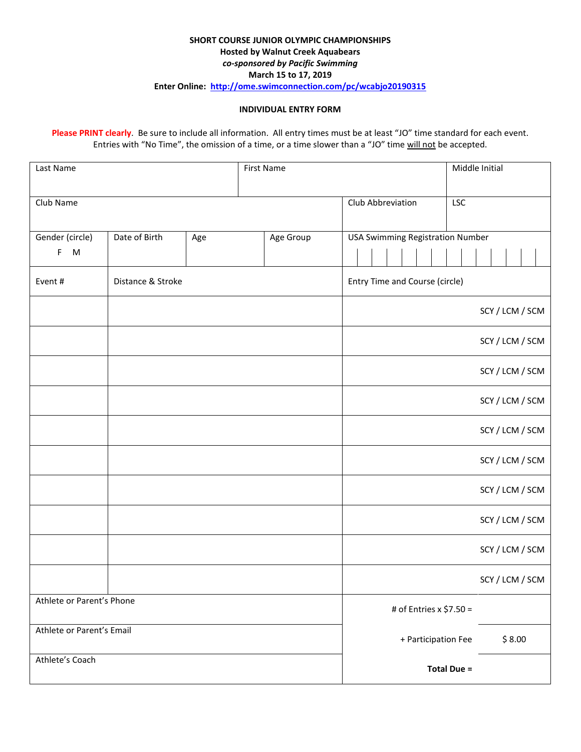#### **SHORT COURSE JUNIOR OLYMPIC CHAMPIONSHIPS Hosted by Walnut Creek Aquabears** *co-sponsored by Pacific Swimming* **March 15 to 17, 2019 Enter Online: <http://ome.swimconnection.com/pc/wcabjo20190315>**

#### **INDIVIDUAL ENTRY FORM**

**Please PRINT clearly**. Be sure to include all information. All entry times must be at least "JO" time standard for each event. Entries with "No Time", the omission of a time, or a time slower than a "JO" time will not be accepted.

| Last Name<br>First Name   |                           |     |           |                                         | Middle Initial                |  |  |  |  |
|---------------------------|---------------------------|-----|-----------|-----------------------------------------|-------------------------------|--|--|--|--|
| Club Name                 |                           |     |           | Club Abbreviation                       | <b>LSC</b>                    |  |  |  |  |
| Gender (circle)           | Date of Birth             | Age | Age Group | <b>USA Swimming Registration Number</b> |                               |  |  |  |  |
| F M                       |                           |     |           |                                         |                               |  |  |  |  |
| Event #                   | Distance & Stroke         |     |           | Entry Time and Course (circle)          |                               |  |  |  |  |
|                           |                           |     |           |                                         | SCY / LCM / SCM               |  |  |  |  |
|                           |                           |     |           |                                         | SCY / LCM / SCM               |  |  |  |  |
|                           |                           |     |           |                                         | SCY / LCM / SCM               |  |  |  |  |
|                           |                           |     |           |                                         | SCY / LCM / SCM               |  |  |  |  |
|                           |                           |     |           |                                         | SCY / LCM / SCM               |  |  |  |  |
|                           |                           |     |           |                                         | SCY / LCM / SCM               |  |  |  |  |
|                           |                           |     |           |                                         | SCY / LCM / SCM               |  |  |  |  |
|                           |                           |     |           |                                         | SCY / LCM / SCM               |  |  |  |  |
|                           |                           |     |           |                                         | SCY / LCM / SCM               |  |  |  |  |
|                           |                           |     |           |                                         | SCY / LCM / SCM               |  |  |  |  |
| Athlete or Parent's Phone |                           |     |           | # of Entries x \$7.50 =                 |                               |  |  |  |  |
|                           | Athlete or Parent's Email |     |           |                                         | \$8.00<br>+ Participation Fee |  |  |  |  |
| Athlete's Coach           |                           |     |           |                                         | <b>Total Due =</b>            |  |  |  |  |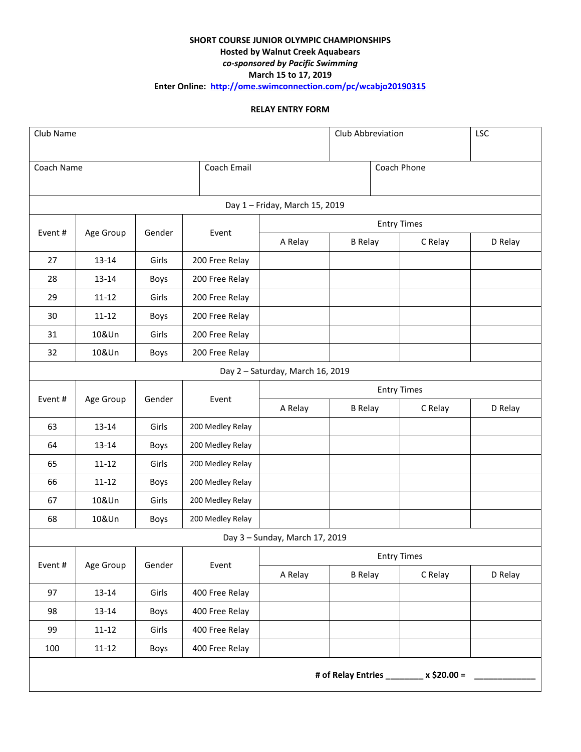# **SHORT COURSE JUNIOR OLYMPIC CHAMPIONSHIPS Hosted by Walnut Creek Aquabears** *co-sponsored by Pacific Swimming* **March 15 to 17, 2019**

**Enter Online: <http://ome.swimconnection.com/pc/wcabjo20190315>**

## **RELAY ENTRY FORM**

| Club Name  |                                         |        |                  | Club Abbreviation              | <b>LSC</b>         |                    |         |  |  |  |
|------------|-----------------------------------------|--------|------------------|--------------------------------|--------------------|--------------------|---------|--|--|--|
| Coach Name |                                         |        | Coach Email      | Coach Phone                    |                    |                    |         |  |  |  |
|            |                                         |        |                  | Day 1 - Friday, March 15, 2019 |                    |                    |         |  |  |  |
|            |                                         |        |                  |                                | <b>Entry Times</b> |                    |         |  |  |  |
| Event#     | Age Group                               | Gender | Event            | A Relay                        | <b>B</b> Relay     | C Relay            | D Relay |  |  |  |
| 27         | 13-14                                   | Girls  | 200 Free Relay   |                                |                    |                    |         |  |  |  |
| 28         | 13-14                                   | Boys   | 200 Free Relay   |                                |                    |                    |         |  |  |  |
| 29         | $11 - 12$                               | Girls  | 200 Free Relay   |                                |                    |                    |         |  |  |  |
| 30         | $11 - 12$                               | Boys   | 200 Free Relay   |                                |                    |                    |         |  |  |  |
| 31         | 10&Un                                   | Girls  | 200 Free Relay   |                                |                    |                    |         |  |  |  |
| 32         | 10&Un                                   | Boys   | 200 Free Relay   |                                |                    |                    |         |  |  |  |
|            | Day 2 - Saturday, March 16, 2019        |        |                  |                                |                    |                    |         |  |  |  |
|            |                                         |        |                  |                                | <b>Entry Times</b> |                    |         |  |  |  |
| Event#     | Age Group                               | Gender | Event            | A Relay                        | <b>B</b> Relay     | C Relay            | D Relay |  |  |  |
| 63         | 13-14                                   | Girls  | 200 Medley Relay |                                |                    |                    |         |  |  |  |
| 64         | 13-14                                   | Boys   | 200 Medley Relay |                                |                    |                    |         |  |  |  |
| 65         | $11 - 12$                               | Girls  | 200 Medley Relay |                                |                    |                    |         |  |  |  |
| 66         | $11 - 12$                               | Boys   | 200 Medley Relay |                                |                    |                    |         |  |  |  |
| 67         | 10&Un                                   | Girls  | 200 Medley Relay |                                |                    |                    |         |  |  |  |
| 68         | 10&Un                                   | Boys   | 200 Medley Relay |                                |                    |                    |         |  |  |  |
|            |                                         |        |                  | Day 3 - Sunday, March 17, 2019 |                    |                    |         |  |  |  |
|            |                                         |        |                  |                                |                    | <b>Entry Times</b> |         |  |  |  |
| Event#     | Age Group                               | Gender | Event            | A Relay                        | <b>B</b> Relay     | C Relay            | D Relay |  |  |  |
| 97         | $13 - 14$                               | Girls  | 400 Free Relay   |                                |                    |                    |         |  |  |  |
| 98         | 13-14                                   | Boys   | 400 Free Relay   |                                |                    |                    |         |  |  |  |
| 99         | $11 - 12$                               | Girls  | 400 Free Relay   |                                |                    |                    |         |  |  |  |
| 100        | $11 - 12$                               | Boys   | 400 Free Relay   |                                |                    |                    |         |  |  |  |
|            | # of Relay Entries ________ x \$20.00 = |        |                  |                                |                    |                    |         |  |  |  |